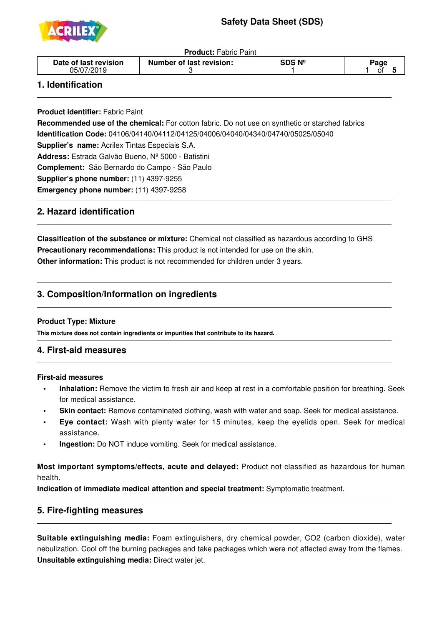

**Product:** Fabric Paint

| Date of last revision | Number of last revision: | DS Nº | ാage |
|-----------------------|--------------------------|-------|------|
| 05/07                 |                          |       | 01   |

## **1. Identification**

j

j

j

ī

**Product identifier:** Fabric Paint

**Recommended use of the chemical:** For cotton fabric. Do not use on synthetic or starched fabrics **Identification Code:** 04106/04140/04112/04125/04006/04040/04340/04740/05025/05040 **Supplier's name:** Acrilex Tintas Especiais S.A. **Address:** Estrada Galvão Bueno, Nº 5000 - Batistini **Complement:** São Bernardo do Campo - São Paulo **Supplier's phone number:** (11) 4397-9255 **Emergency phone number:** (11) 4397-9258

# **2. Hazard identification**

**Classification of the substance or mixture:** Chemical not classified as hazardous according to GHS **Precautionary recommendations:** This product is not intended for use on the skin. **Other information:** This product is not recommended for children under 3 years.

# **3. Composition/Information on ingredients**

#### **Product Type: Mixture**

**This mixture does not contain ingredients or impurities that contribute to its hazard.**

## **4. First-aid measures**

#### **First-aid measures**

- **• Inhalation:** Remove the victim to fresh air and keep at rest in a comfortable position for breathing. Seek for medical assistance.
- **Skin contact:** Remove contaminated clothing, wash with water and soap. Seek for medical assistance.
- **Eye contact:** Wash with plenty water for 15 minutes, keep the eyelids open. Seek for medical assistance.
- **Ingestion:** Do NOT induce vomiting. Seek for medical assistance.

**Most important symptoms/effects, acute and delayed:** Product not classified as hazardous for human health.

**Indication of immediate medical attention and special treatment:** Symptomatic treatment.

## **5. Fire-fighting measures**

**Suitable extinguishing media:** Foam extinguishers, dry chemical powder, CO2 (carbon dioxide), water nebulization. Cool off the burning packages and take packages which were not affected away from the flames. **Unsuitable extinguishing media:** Direct water jet.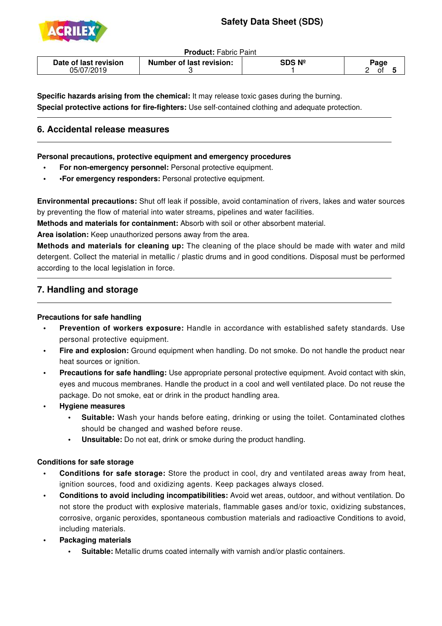

j

j

**Product:** Fabric Paint

| Date of last revision | Number of last revision: | SDS Nº | $\mathsf{a}$ age |
|-----------------------|--------------------------|--------|------------------|
| 05/07/2019            |                          |        |                  |

**Specific hazards arising from the chemical:** It may release toxic gases during the burning. **Special protective actions for fire-fighters:** Use self-contained clothing and adequate protection.

## **6. Accidental release measures**

**Personal precautions, protective equipment and emergency procedures**

- **For non-emergency personnel:** Personal protective equipment.
- **•For emergency responders:** Personal protective equipment.

**Environmental precautions:** Shut off leak if possible, avoid contamination of rivers, lakes and water sources by preventing the flow of material into water streams, pipelines and water facilities.

**Methods and materials for containment:** Absorb with soil or other absorbent material.

**Area isolation:** Keep unauthorized persons away from the area.

**Methods and materials for cleaning up:** The cleaning of the place should be made with water and mild detergent. Collect the material in metallic / plastic drums and in good conditions. Disposal must be performed according to the local legislation in force.

# **7. Handling and storage**

#### **Precautions for safe handling**

- **Prevention of workers exposure:** Handle in accordance with established safety standards. Use personal protective equipment.
- **Fire and explosion:** Ground equipment when handling. Do not smoke. Do not handle the product near heat sources or ignition.
- **Precautions for safe handling:** Use appropriate personal protective equipment. Avoid contact with skin, eyes and mucous membranes. Handle the product in a cool and well ventilated place. Do not reuse the package. Do not smoke, eat or drink in the product handling area.
- **• Hygiene measures**
	- **Suitable:** Wash your hands before eating, drinking or using the toilet. Contaminated clothes should be changed and washed before reuse.
	- **Unsuitable:** Do not eat, drink or smoke during the product handling.

#### **Conditions for safe storage**

- **Conditions for safe storage:** Store the product in cool, dry and ventilated areas away from heat, ignition sources, food and oxidizing agents. Keep packages always closed.
- **• Conditions to avoid including incompatibilities:** Avoid wet areas, outdoor, and without ventilation. Do not store the product with explosive materials, flammable gases and/or toxic, oxidizing substances, corrosive, organic peroxides, spontaneous combustion materials and radioactive Conditions to avoid, including materials.
- **Packaging materials** 
	- **Suitable:** Metallic drums coated internally with varnish and/or plastic containers.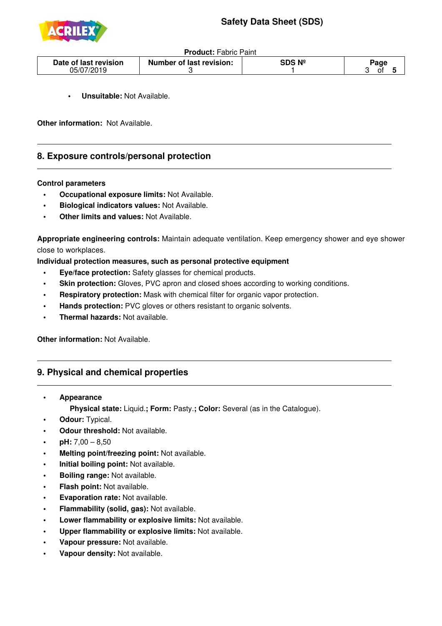

**Product:** Fabric Paint

| Date of last revision | Number of last revision: | ;DS № | oade |
|-----------------------|--------------------------|-------|------|
| 05/07/                |                          |       | O1   |

**Unsuitable: Not Available.** 

**Other information:** Not Available.

## **8. Exposure controls/personal protection**

#### **Control parameters**

j

- **• Occupational exposure limits:** Not Available.
- **• Biological indicators values:** Not Available.
- **Other limits and values: Not Available.**

**Appropriate engineering controls:** Maintain adequate ventilation. Keep emergency shower and eye shower close to workplaces.

**Individual protection measures, such as personal protective equipment**

- **• Eye/face protection:** Safety glasses for chemical products.
- **Skin protection:** Gloves, PVC apron and closed shoes according to working conditions.
- **Respiratory protection:** Mask with chemical filter for organic vapor protection.
- **Hands protection:** PVC gloves or others resistant to organic solvents.
- **Thermal hazards: Not available.**

**Other information:** Not Available.

#### **9. Physical and chemical properties**

 **• Appearance**

j

 **Physical state:** Liquid.**; Form:** Pasty.**; Color:** Several (as in the Catalogue).

- **Odour: Typical.**
- **Odour threshold:** Not available.
- $pH: 7,00 8,50$
- **Melting point/freezing point: Not available.**
- **Initial boiling point: Not available.**
- **Boiling range: Not available.**
- **Flash point: Not available.**
- **Evaporation rate: Not available.**
- **Flammability (solid, gas):** Not available.
- **Lower flammability or explosive limits: Not available.**
- **• Upper flammability or explosive limits:** Not available.
- **Vapour pressure:** Not available.
- **Vapour density: Not available.**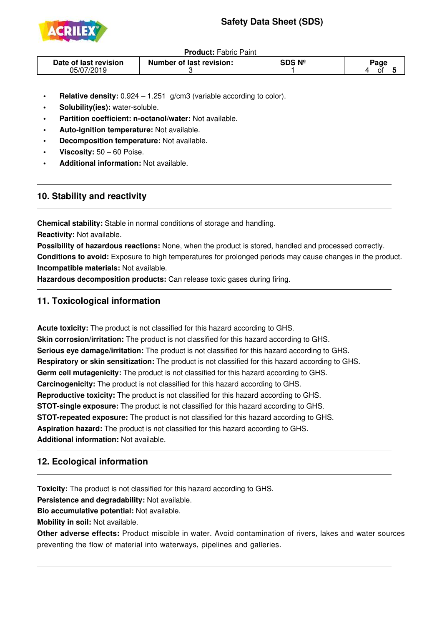

**Product:** Fabric Paint

| Date of last revision<br>05/07/2019 | <b>Number of last revision:</b> | SDS № | $\mathbf{a}$ aqe<br>01 |
|-------------------------------------|---------------------------------|-------|------------------------|
|                                     |                                 |       |                        |

- **Relative density:** 0.924 1.251 g/cm3 (variable according to color).
- **Solubility(ies):** water-soluble.
- **Partition coefficient: n-octanol/water: Not available.**
- **Auto-ignition temperature:** Not available.
- **Decomposition temperature:** Not available.
- **Viscosity: 50 60 Poise.**
- **Additional information: Not available.**

## **10. Stability and reactivity**

j

j

ī

**Chemical stability:** Stable in normal conditions of storage and handling. **Reactivity:** Not available.

**Possibility of hazardous reactions:** None, when the product is stored, handled and processed correctly. **Conditions to avoid:** Exposure to high temperatures for prolonged periods may cause changes in the product. **Incompatible materials:** Not available.

**Hazardous decomposition products:** Can release toxic gases during firing.

# **11. Toxicological information**

**Acute toxicity:** The product is not classified for this hazard according to GHS. **Skin corrosion/irritation:** The product is not classified for this hazard according to GHS. **Serious eye damage/irritation:** The product is not classified for this hazard according to GHS. **Respiratory or skin sensitization:** The product is not classified for this hazard according to GHS. **Germ cell mutagenicity:** The product is not classified for this hazard according to GHS. **Carcinogenicity:** The product is not classified for this hazard according to GHS. **Reproductive toxicity:** The product is not classified for this hazard according to GHS. **STOT-single exposure:** The product is not classified for this hazard according to GHS. **STOT-repeated exposure:** The product is not classified for this hazard according to GHS. **Aspiration hazard:** The product is not classified for this hazard according to GHS. **Additional information:** Not available.

# **12. Ecological information**

**Toxicity:** The product is not classified for this hazard according to GHS.

**Persistence and degradability:** Not available.

**Bio accumulative potential:** Not available.

**Mobility in soil:** Not available.

**Other adverse effects:** Product miscible in water. Avoid contamination of rivers, lakes and water sources preventing the flow of material into waterways, pipelines and galleries.